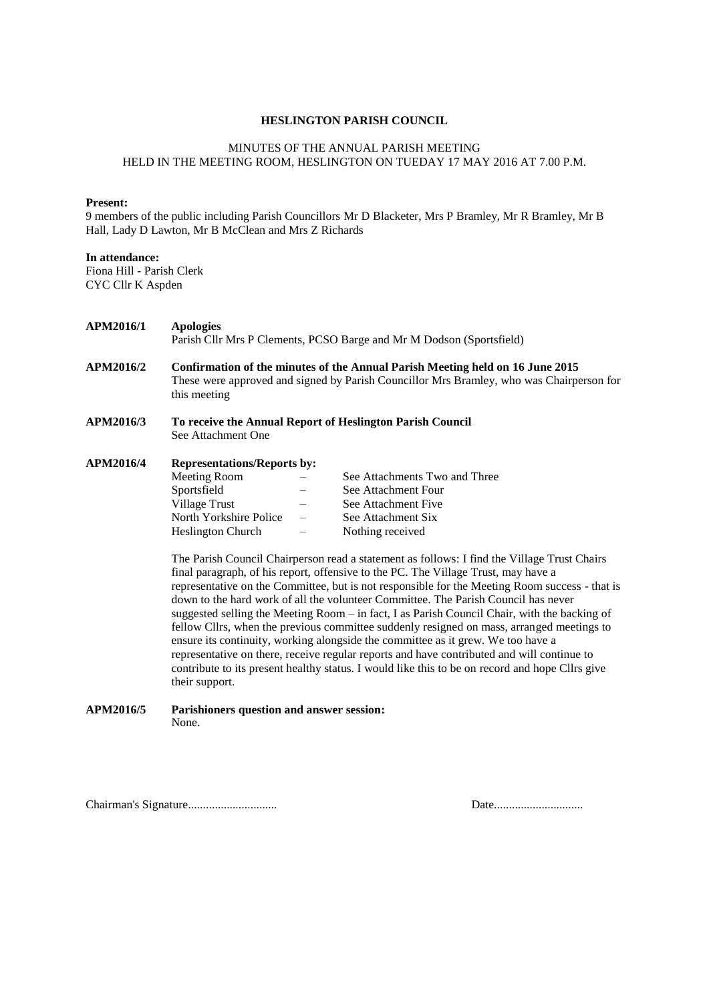#### **HESLINGTON PARISH COUNCIL**

#### MINUTES OF THE ANNUAL PARISH MEETING HELD IN THE MEETING ROOM, HESLINGTON ON TUEDAY 17 MAY 2016 AT 7.00 P.M.

#### **Present:**

9 members of the public including Parish Councillors Mr D Blacketer, Mrs P Bramley, Mr R Bramley, Mr B Hall, Lady D Lawton, Mr B McClean and Mrs Z Richards

#### **In attendance:**

Fiona Hill - Parish Clerk CYC Cllr K Aspden

| <b>APM2016/1</b> | <b>Apologies</b><br>Parish Cllr Mrs P Clements, PCSO Barge and Mr M Dodson (Sportsfield)                                                                                                                                                                                                                                                                                                                                                                                                                                                                                                                                                                     |  |                                                           |  |  |
|------------------|--------------------------------------------------------------------------------------------------------------------------------------------------------------------------------------------------------------------------------------------------------------------------------------------------------------------------------------------------------------------------------------------------------------------------------------------------------------------------------------------------------------------------------------------------------------------------------------------------------------------------------------------------------------|--|-----------------------------------------------------------|--|--|
| <b>APM2016/2</b> | Confirmation of the minutes of the Annual Parish Meeting held on 16 June 2015<br>These were approved and signed by Parish Councillor Mrs Bramley, who was Chairperson for<br>this meeting                                                                                                                                                                                                                                                                                                                                                                                                                                                                    |  |                                                           |  |  |
| <b>APM2016/3</b> | See Attachment One                                                                                                                                                                                                                                                                                                                                                                                                                                                                                                                                                                                                                                           |  | To receive the Annual Report of Heslington Parish Council |  |  |
| <b>APM2016/4</b> | <b>Representations/Reports by:</b>                                                                                                                                                                                                                                                                                                                                                                                                                                                                                                                                                                                                                           |  |                                                           |  |  |
|                  | <b>Meeting Room</b>                                                                                                                                                                                                                                                                                                                                                                                                                                                                                                                                                                                                                                          |  | See Attachments Two and Three                             |  |  |
|                  | Sportsfield                                                                                                                                                                                                                                                                                                                                                                                                                                                                                                                                                                                                                                                  |  | See Attachment Four                                       |  |  |
|                  | <b>Village Trust</b>                                                                                                                                                                                                                                                                                                                                                                                                                                                                                                                                                                                                                                         |  | See Attachment Five                                       |  |  |
|                  | North Yorkshire Police                                                                                                                                                                                                                                                                                                                                                                                                                                                                                                                                                                                                                                       |  | See Attachment Six                                        |  |  |
|                  | <b>Heslington Church</b>                                                                                                                                                                                                                                                                                                                                                                                                                                                                                                                                                                                                                                     |  | Nothing received                                          |  |  |
|                  | The Parish Council Chairperson read a statement as follows: I find the Village Trust Chairs<br>final paragraph, of his report, offensive to the PC. The Village Trust, may have a<br>representative on the Committee, but is not responsible for the Meeting Room success - that is<br>down to the hard work of all the volunteer Committee. The Parish Council has never<br>suggested selling the Meeting Room $-$ in fact, I as Parish Council Chair, with the backing of<br>fellow Cllrs, when the previous committee suddenly resigned on mass, arranged meetings to<br>ensure its continuity, working alongside the committee as it grew. We too have a |  |                                                           |  |  |

representative on there, receive regular reports and have contributed and will continue to contribute to its present healthy status. I would like this to be on record and hope Cllrs give their support.

#### **APM2016/5 Parishioners question and answer session:** None.

Chairman's Signature.............................. Date..............................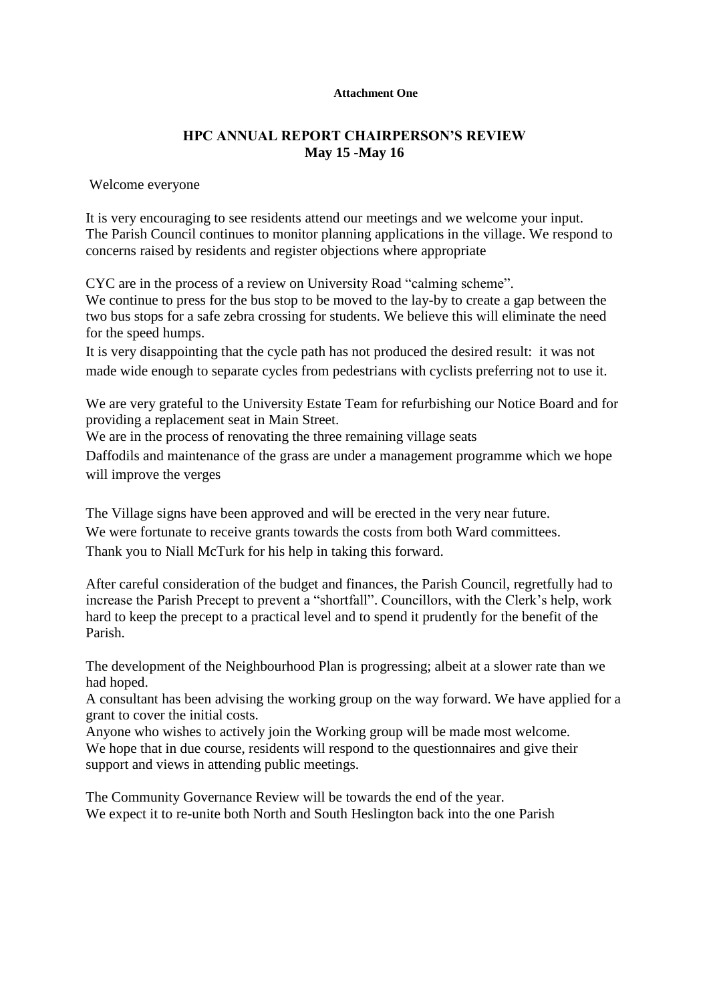#### **Attachment One**

## **HPC ANNUAL REPORT CHAIRPERSON'S REVIEW May 15 -May 16**

Welcome everyone

It is very encouraging to see residents attend our meetings and we welcome your input. The Parish Council continues to monitor planning applications in the village. We respond to concerns raised by residents and register objections where appropriate

CYC are in the process of a review on University Road "calming scheme".

We continue to press for the bus stop to be moved to the lay-by to create a gap between the two bus stops for a safe zebra crossing for students. We believe this will eliminate the need for the speed humps.

It is very disappointing that the cycle path has not produced the desired result: it was not made wide enough to separate cycles from pedestrians with cyclists preferring not to use it.

We are very grateful to the University Estate Team for refurbishing our Notice Board and for providing a replacement seat in Main Street.

We are in the process of renovating the three remaining village seats

Daffodils and maintenance of the grass are under a management programme which we hope will improve the verges

The Village signs have been approved and will be erected in the very near future. We were fortunate to receive grants towards the costs from both Ward committees. Thank you to Niall McTurk for his help in taking this forward.

After careful consideration of the budget and finances, the Parish Council, regretfully had to increase the Parish Precept to prevent a "shortfall". Councillors, with the Clerk's help, work hard to keep the precept to a practical level and to spend it prudently for the benefit of the Parish.

The development of the Neighbourhood Plan is progressing; albeit at a slower rate than we had hoped.

A consultant has been advising the working group on the way forward. We have applied for a grant to cover the initial costs.

Anyone who wishes to actively join the Working group will be made most welcome. We hope that in due course, residents will respond to the questionnaires and give their support and views in attending public meetings.

The Community Governance Review will be towards the end of the year. We expect it to re-unite both North and South Heslington back into the one Parish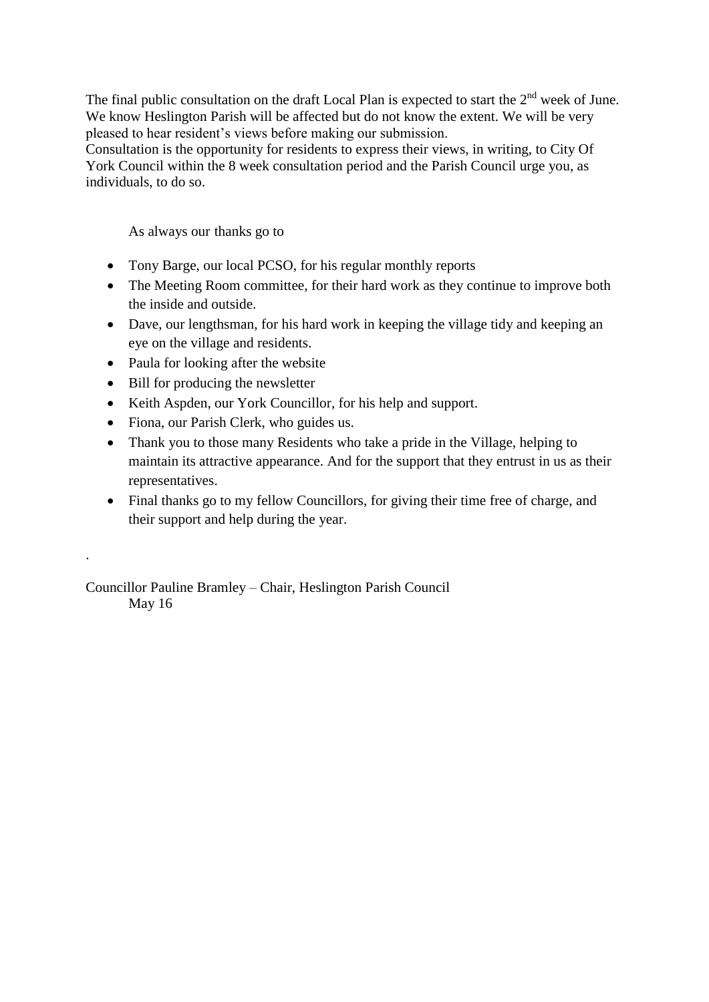The final public consultation on the draft Local Plan is expected to start the  $2<sup>nd</sup>$  week of June. We know Heslington Parish will be affected but do not know the extent. We will be very pleased to hear resident's views before making our submission.

Consultation is the opportunity for residents to express their views, in writing, to City Of York Council within the 8 week consultation period and the Parish Council urge you, as individuals, to do so.

As always our thanks go to

- Tony Barge, our local PCSO, for his regular monthly reports
- The Meeting Room committee, for their hard work as they continue to improve both the inside and outside.
- Dave, our lengthsman, for his hard work in keeping the village tidy and keeping an eye on the village and residents.
- Paula for looking after the website
- Bill for producing the newsletter

.

- Keith Aspden, our York Councillor, for his help and support.
- Fiona, our Parish Clerk, who guides us.
- Thank you to those many Residents who take a pride in the Village, helping to maintain its attractive appearance. And for the support that they entrust in us as their representatives.
- Final thanks go to my fellow Councillors, for giving their time free of charge, and their support and help during the year.

Councillor Pauline Bramley – Chair, Heslington Parish Council May 16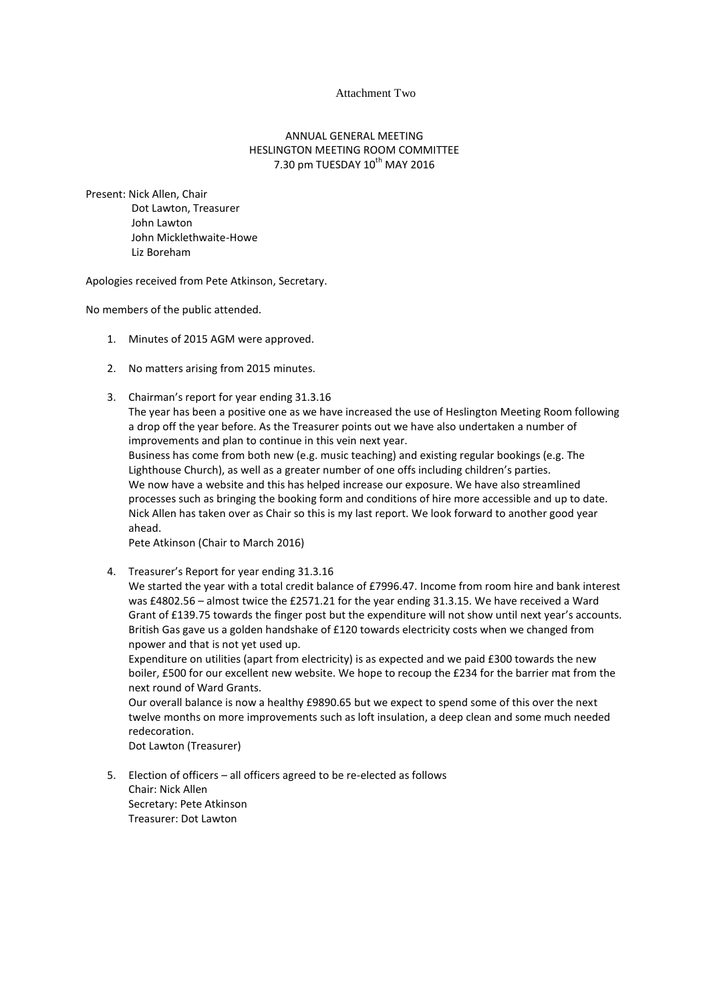#### Attachment Two

#### ANNUAL GENERAL MEETING HESLINGTON MEETING ROOM COMMITTEE  $7.30$  pm TUESDAY  $10^{th}$  MAY 2016

Present: Nick Allen, Chair Dot Lawton, Treasurer John Lawton John Micklethwaite-Howe Liz Boreham

Apologies received from Pete Atkinson, Secretary.

No members of the public attended.

- 1. Minutes of 2015 AGM were approved.
- 2. No matters arising from 2015 minutes.
- 3. Chairman's report for year ending 31.3.16 The year has been a positive one as we have increased the use of Heslington Meeting Room following a drop off the year before. As the Treasurer points out we have also undertaken a number of improvements and plan to continue in this vein next year.

Business has come from both new (e.g. music teaching) and existing regular bookings (e.g. The Lighthouse Church), as well as a greater number of one offs including children's parties. We now have a website and this has helped increase our exposure. We have also streamlined processes such as bringing the booking form and conditions of hire more accessible and up to date. Nick Allen has taken over as Chair so this is my last report. We look forward to another good year ahead.

Pete Atkinson (Chair to March 2016)

4. Treasurer's Report for year ending 31.3.16

We started the year with a total credit balance of £7996.47. Income from room hire and bank interest was £4802.56 – almost twice the £2571.21 for the year ending 31.3.15. We have received a Ward Grant of £139.75 towards the finger post but the expenditure will not show until next year's accounts. British Gas gave us a golden handshake of £120 towards electricity costs when we changed from npower and that is not yet used up.

Expenditure on utilities (apart from electricity) is as expected and we paid £300 towards the new boiler, £500 for our excellent new website. We hope to recoup the £234 for the barrier mat from the next round of Ward Grants.

Our overall balance is now a healthy £9890.65 but we expect to spend some of this over the next twelve months on more improvements such as loft insulation, a deep clean and some much needed redecoration.

Dot Lawton (Treasurer)

5. Election of officers – all officers agreed to be re-elected as follows Chair: Nick Allen Secretary: Pete Atkinson Treasurer: Dot Lawton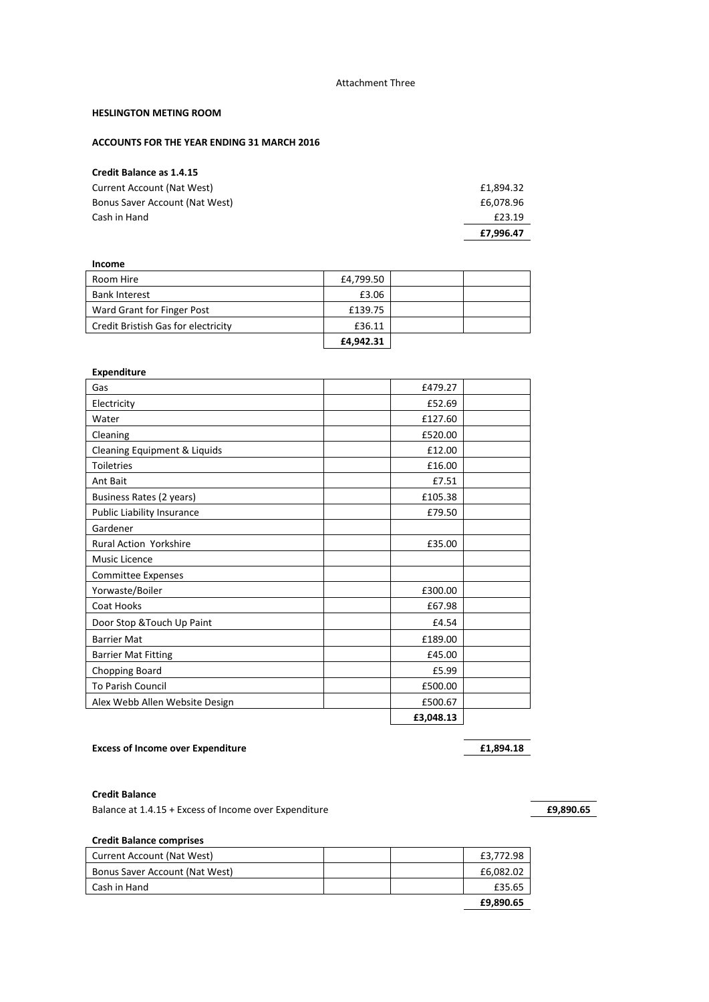#### Attachment Three

#### **HESLINGTON METING ROOM**

#### **ACCOUNTS FOR THE YEAR ENDING 31 MARCH 2016**

## **Credit Balance as 1.4.15**

| Current Account (Nat West)     | £1,894.32 |
|--------------------------------|-----------|
| Bonus Saver Account (Nat West) |           |
| Cash in Hand                   | £23.19    |
|                                | £7,996.47 |

| Income                              |           |  |
|-------------------------------------|-----------|--|
| Room Hire                           | £4,799.50 |  |
| <b>Bank Interest</b>                | £3.06     |  |
| Ward Grant for Finger Post          | £139.75   |  |
| Credit Bristish Gas for electricity | £36.11    |  |
|                                     | £4.942.31 |  |

#### **Expenditure**

| Gas                            | £479.27   |  |
|--------------------------------|-----------|--|
| Electricity                    | £52.69    |  |
| Water                          | £127.60   |  |
| Cleaning                       | £520.00   |  |
| Cleaning Equipment & Liquids   | £12.00    |  |
| <b>Toiletries</b>              | £16.00    |  |
| Ant Bait                       | £7.51     |  |
| Business Rates (2 years)       | £105.38   |  |
| Public Liability Insurance     | £79.50    |  |
| Gardener                       |           |  |
| <b>Rural Action Yorkshire</b>  | £35.00    |  |
| <b>Music Licence</b>           |           |  |
| <b>Committee Expenses</b>      |           |  |
| Yorwaste/Boiler                | £300.00   |  |
| Coat Hooks                     | £67.98    |  |
| Door Stop & Touch Up Paint     | £4.54     |  |
| <b>Barrier Mat</b>             | £189.00   |  |
| <b>Barrier Mat Fitting</b>     | £45.00    |  |
| Chopping Board                 | £5.99     |  |
| <b>To Parish Council</b>       | £500.00   |  |
| Alex Webb Allen Website Design | £500.67   |  |
|                                | £3,048.13 |  |

#### **Excess of Income over Expenditure £1,894.18**

#### **Credit Balance**

Balance at 1.4.15 + Excess of Income over Expenditure **£9,890.65**

#### **Credit Balance comprises**

| Current Account (Nat West)     | £3,772.98 |
|--------------------------------|-----------|
| Bonus Saver Account (Nat West) | £6,082.02 |
| Cash in Hand                   | £35.65    |
|                                | £9,890.65 |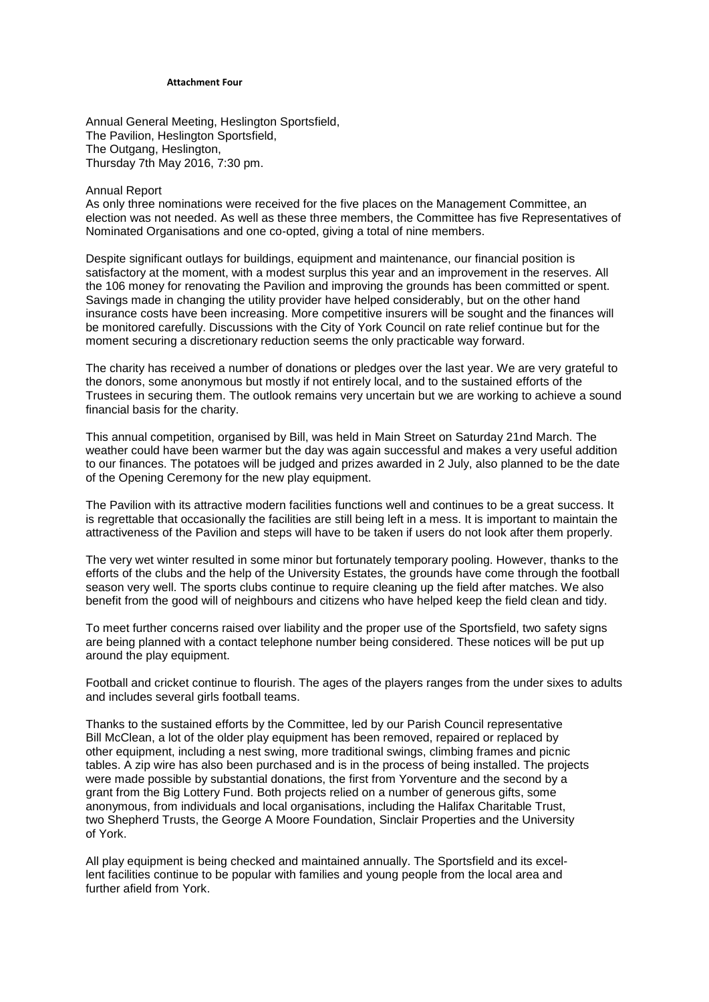#### **Attachment Four**

Annual General Meeting, Heslington Sportsfield, The Pavilion, Heslington Sportsfield, The Outgang, Heslington, Thursday 7th May 2016, 7:30 pm.

#### Annual Report

As only three nominations were received for the five places on the Management Committee, an election was not needed. As well as these three members, the Committee has five Representatives of Nominated Organisations and one co-opted, giving a total of nine members.

Despite significant outlays for buildings, equipment and maintenance, our financial position is satisfactory at the moment, with a modest surplus this year and an improvement in the reserves. All the 106 money for renovating the Pavilion and improving the grounds has been committed or spent. Savings made in changing the utility provider have helped considerably, but on the other hand insurance costs have been increasing. More competitive insurers will be sought and the finances will be monitored carefully. Discussions with the City of York Council on rate relief continue but for the moment securing a discretionary reduction seems the only practicable way forward.

The charity has received a number of donations or pledges over the last year. We are very grateful to the donors, some anonymous but mostly if not entirely local, and to the sustained efforts of the Trustees in securing them. The outlook remains very uncertain but we are working to achieve a sound financial basis for the charity.

This annual competition, organised by Bill, was held in Main Street on Saturday 21nd March. The weather could have been warmer but the day was again successful and makes a very useful addition to our finances. The potatoes will be judged and prizes awarded in 2 July, also planned to be the date of the Opening Ceremony for the new play equipment.

The Pavilion with its attractive modern facilities functions well and continues to be a great success. It is regrettable that occasionally the facilities are still being left in a mess. It is important to maintain the attractiveness of the Pavilion and steps will have to be taken if users do not look after them properly.

The very wet winter resulted in some minor but fortunately temporary pooling. However, thanks to the efforts of the clubs and the help of the University Estates, the grounds have come through the football season very well. The sports clubs continue to require cleaning up the field after matches. We also benefit from the good will of neighbours and citizens who have helped keep the field clean and tidy.

To meet further concerns raised over liability and the proper use of the Sportsfield, two safety signs are being planned with a contact telephone number being considered. These notices will be put up around the play equipment.

Football and cricket continue to flourish. The ages of the players ranges from the under sixes to adults and includes several girls football teams.

Thanks to the sustained efforts by the Committee, led by our Parish Council representative Bill McClean, a lot of the older play equipment has been removed, repaired or replaced by other equipment, including a nest swing, more traditional swings, climbing frames and picnic tables. A zip wire has also been purchased and is in the process of being installed. The projects were made possible by substantial donations, the first from Yorventure and the second by a grant from the Big Lottery Fund. Both projects relied on a number of generous gifts, some anonymous, from individuals and local organisations, including the Halifax Charitable Trust, two Shepherd Trusts, the George A Moore Foundation, Sinclair Properties and the University of York.

All play equipment is being checked and maintained annually. The Sportsfield and its excellent facilities continue to be popular with families and young people from the local area and further afield from York.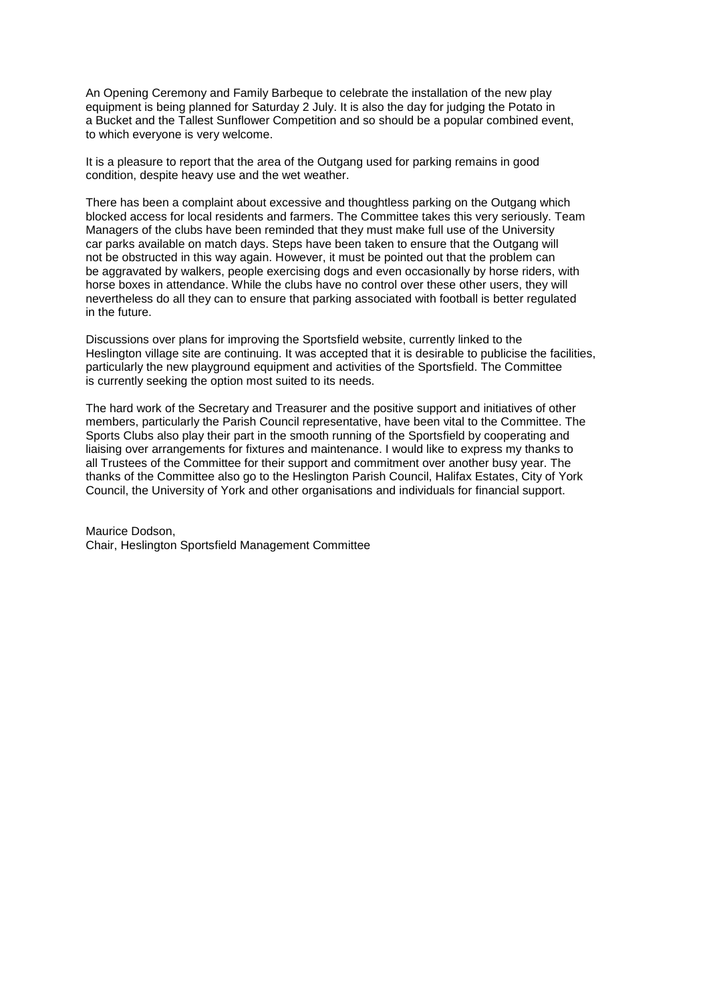An Opening Ceremony and Family Barbeque to celebrate the installation of the new play equipment is being planned for Saturday 2 July. It is also the day for judging the Potato in a Bucket and the Tallest Sunflower Competition and so should be a popular combined event, to which everyone is very welcome.

It is a pleasure to report that the area of the Outgang used for parking remains in good condition, despite heavy use and the wet weather.

There has been a complaint about excessive and thoughtless parking on the Outgang which blocked access for local residents and farmers. The Committee takes this very seriously. Team Managers of the clubs have been reminded that they must make full use of the University car parks available on match days. Steps have been taken to ensure that the Outgang will not be obstructed in this way again. However, it must be pointed out that the problem can be aggravated by walkers, people exercising dogs and even occasionally by horse riders, with horse boxes in attendance. While the clubs have no control over these other users, they will nevertheless do all they can to ensure that parking associated with football is better regulated in the future.

Discussions over plans for improving the Sportsfield website, currently linked to the Heslington village site are continuing. It was accepted that it is desirable to publicise the facilities, particularly the new playground equipment and activities of the Sportsfield. The Committee is currently seeking the option most suited to its needs.

The hard work of the Secretary and Treasurer and the positive support and initiatives of other members, particularly the Parish Council representative, have been vital to the Committee. The Sports Clubs also play their part in the smooth running of the Sportsfield by cooperating and liaising over arrangements for fixtures and maintenance. I would like to express my thanks to all Trustees of the Committee for their support and commitment over another busy year. The thanks of the Committee also go to the Heslington Parish Council, Halifax Estates, City of York Council, the University of York and other organisations and individuals for financial support.

Maurice Dodson, Chair, Heslington Sportsfield Management Committee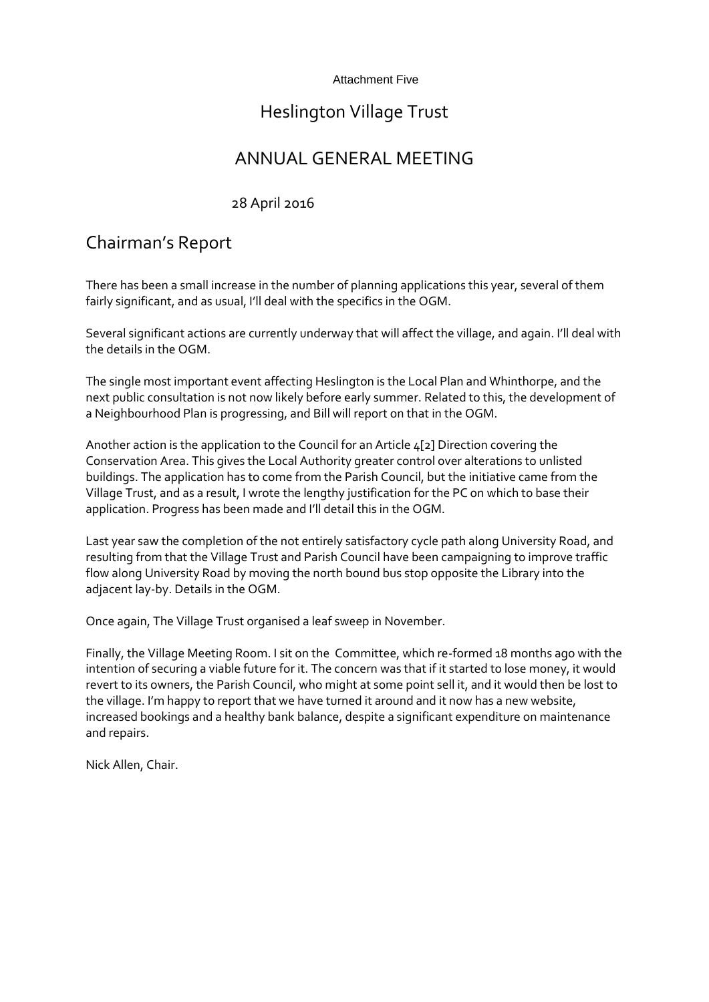### Attachment Five

# Heslington Village Trust

# ANNUAL GENERAL MEETING

## 28 April 2016

# Chairman's Report

There has been a small increase in the number of planning applications this year, several of them fairly significant, and as usual, I'll deal with the specifics in the OGM.

Several significant actions are currently underway that will affect the village, and again. I'll deal with the details in the OGM.

The single most important event affecting Heslington is the Local Plan and Whinthorpe, and the next public consultation is not now likely before early summer. Related to this, the development of a Neighbourhood Plan is progressing, and Bill will report on that in the OGM.

Another action is the application to the Council for an Article 4[2] Direction covering the Conservation Area. This gives the Local Authority greater control over alterations to unlisted buildings. The application has to come from the Parish Council, but the initiative came from the Village Trust, and as a result, I wrote the lengthy justification for the PC on which to base their application. Progress has been made and I'll detail this in the OGM.

Last year saw the completion of the not entirely satisfactory cycle path along University Road, and resulting from that the Village Trust and Parish Council have been campaigning to improve traffic flow along University Road by moving the north bound bus stop opposite the Library into the adjacent lay-by. Details in the OGM.

Once again, The Village Trust organised a leaf sweep in November.

Finally, the Village Meeting Room. I sit on the Committee, which re-formed 18 months ago with the intention of securing a viable future for it. The concern was that if it started to lose money, it would revert to its owners, the Parish Council, who might at some point sell it, and it would then be lost to the village. I'm happy to report that we have turned it around and it now has a new website, increased bookings and a healthy bank balance, despite a significant expenditure on maintenance and repairs.

Nick Allen, Chair.